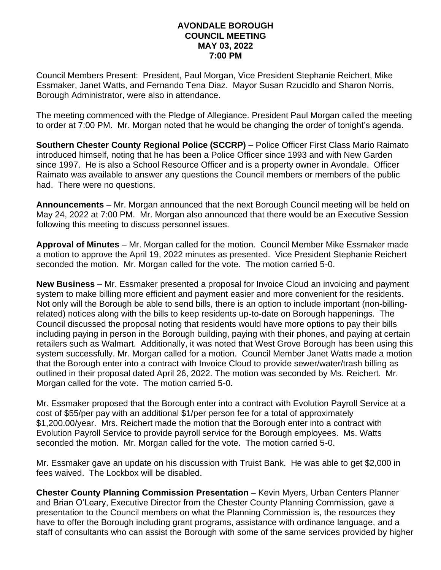## **AVONDALE BOROUGH COUNCIL MEETING MAY 03, 2022 7:00 PM**

Council Members Present: President, Paul Morgan, Vice President Stephanie Reichert, Mike Essmaker, Janet Watts, and Fernando Tena Diaz. Mayor Susan Rzucidlo and Sharon Norris, Borough Administrator, were also in attendance.

The meeting commenced with the Pledge of Allegiance. President Paul Morgan called the meeting to order at 7:00 PM. Mr. Morgan noted that he would be changing the order of tonight's agenda.

**Southern Chester County Regional Police (SCCRP)** – Police Officer First Class Mario Raimato introduced himself, noting that he has been a Police Officer since 1993 and with New Garden since 1997. He is also a School Resource Officer and is a property owner in Avondale. Officer Raimato was available to answer any questions the Council members or members of the public had. There were no questions.

**Announcements** – Mr. Morgan announced that the next Borough Council meeting will be held on May 24, 2022 at 7:00 PM. Mr. Morgan also announced that there would be an Executive Session following this meeting to discuss personnel issues.

**Approval of Minutes** – Mr. Morgan called for the motion. Council Member Mike Essmaker made a motion to approve the April 19, 2022 minutes as presented. Vice President Stephanie Reichert seconded the motion. Mr. Morgan called for the vote. The motion carried 5-0.

**New Business** – Mr. Essmaker presented a proposal for Invoice Cloud an invoicing and payment system to make billing more efficient and payment easier and more convenient for the residents. Not only will the Borough be able to send bills, there is an option to include important (non-billingrelated) notices along with the bills to keep residents up-to-date on Borough happenings. The Council discussed the proposal noting that residents would have more options to pay their bills including paying in person in the Borough building, paying with their phones, and paying at certain retailers such as Walmart. Additionally, it was noted that West Grove Borough has been using this system successfully. Mr. Morgan called for a motion. Council Member Janet Watts made a motion that the Borough enter into a contract with Invoice Cloud to provide sewer/water/trash billing as outlined in their proposal dated April 26, 2022. The motion was seconded by Ms. Reichert. Mr. Morgan called for the vote. The motion carried 5-0.

Mr. Essmaker proposed that the Borough enter into a contract with Evolution Payroll Service at a cost of \$55/per pay with an additional \$1/per person fee for a total of approximately \$1,200.00/year. Mrs. Reichert made the motion that the Borough enter into a contract with Evolution Payroll Service to provide payroll service for the Borough employees. Ms. Watts seconded the motion. Mr. Morgan called for the vote. The motion carried 5-0.

Mr. Essmaker gave an update on his discussion with Truist Bank. He was able to get \$2,000 in fees waived. The Lockbox will be disabled.

**Chester County Planning Commission Presentation** – Kevin Myers, Urban Centers Planner and Brian O'Leary, Executive Director from the Chester County Planning Commission, gave a presentation to the Council members on what the Planning Commission is, the resources they have to offer the Borough including grant programs, assistance with ordinance language, and a staff of consultants who can assist the Borough with some of the same services provided by higher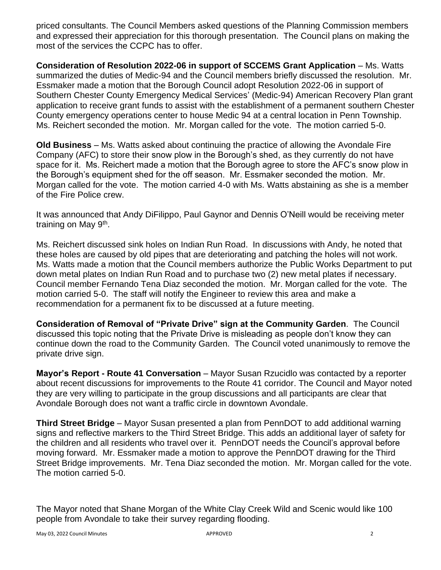priced consultants. The Council Members asked questions of the Planning Commission members and expressed their appreciation for this thorough presentation. The Council plans on making the most of the services the CCPC has to offer.

**Consideration of Resolution 2022-06 in support of SCCEMS Grant Application** – Ms. Watts summarized the duties of Medic-94 and the Council members briefly discussed the resolution. Mr. Essmaker made a motion that the Borough Council adopt Resolution 2022-06 in support of Southern Chester County Emergency Medical Services' (Medic-94) American Recovery Plan grant application to receive grant funds to assist with the establishment of a permanent southern Chester County emergency operations center to house Medic 94 at a central location in Penn Township. Ms. Reichert seconded the motion. Mr. Morgan called for the vote. The motion carried 5-0.

**Old Business** – Ms. Watts asked about continuing the practice of allowing the Avondale Fire Company (AFC) to store their snow plow in the Borough's shed, as they currently do not have space for it. Ms. Reichert made a motion that the Borough agree to store the AFC's snow plow in the Borough's equipment shed for the off season. Mr. Essmaker seconded the motion. Mr. Morgan called for the vote. The motion carried 4-0 with Ms. Watts abstaining as she is a member of the Fire Police crew.

It was announced that Andy DiFilippo, Paul Gaynor and Dennis O'Neill would be receiving meter training on May 9<sup>th</sup>.

Ms. Reichert discussed sink holes on Indian Run Road. In discussions with Andy, he noted that these holes are caused by old pipes that are deteriorating and patching the holes will not work. Ms. Watts made a motion that the Council members authorize the Public Works Department to put down metal plates on Indian Run Road and to purchase two (2) new metal plates if necessary. Council member Fernando Tena Diaz seconded the motion. Mr. Morgan called for the vote. The motion carried 5-0. The staff will notify the Engineer to review this area and make a recommendation for a permanent fix to be discussed at a future meeting.

**Consideration of Removal of "Private Drive" sign at the Community Garden**. The Council discussed this topic noting that the Private Drive is misleading as people don't know they can continue down the road to the Community Garden. The Council voted unanimously to remove the private drive sign.

**Mayor's Report - Route 41 Conversation** – Mayor Susan Rzucidlo was contacted by a reporter about recent discussions for improvements to the Route 41 corridor. The Council and Mayor noted they are very willing to participate in the group discussions and all participants are clear that Avondale Borough does not want a traffic circle in downtown Avondale.

**Third Street Bridge** – Mayor Susan presented a plan from PennDOT to add additional warning signs and reflective markers to the Third Street Bridge. This adds an additional layer of safety for the children and all residents who travel over it. PennDOT needs the Council's approval before moving forward. Mr. Essmaker made a motion to approve the PennDOT drawing for the Third Street Bridge improvements. Mr. Tena Diaz seconded the motion. Mr. Morgan called for the vote. The motion carried 5-0.

The Mayor noted that Shane Morgan of the White Clay Creek Wild and Scenic would like 100 people from Avondale to take their survey regarding flooding.